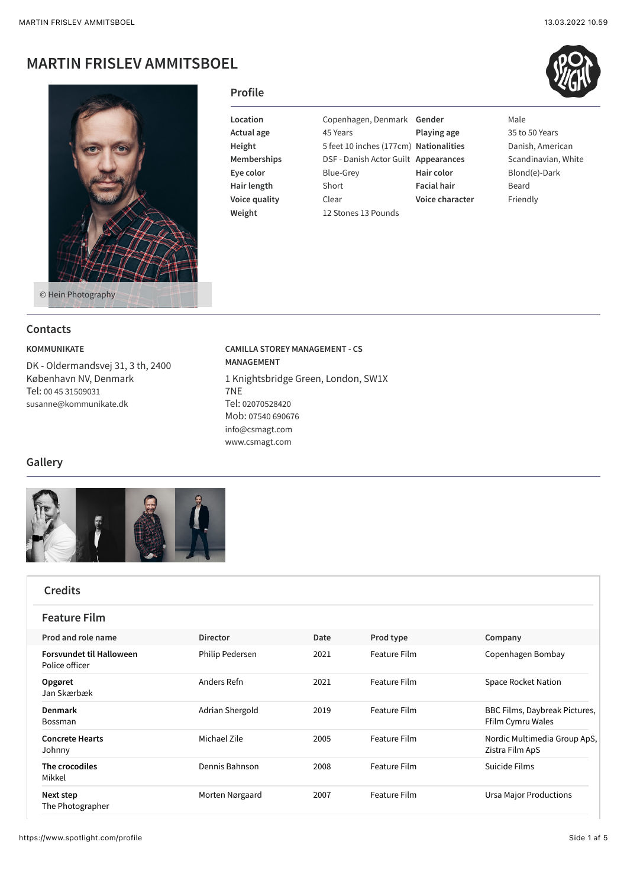# **MARTIN FRISLEV AMMITSBOEL**



### **Profile**

**Weight** 12 Stones 13 Pounds

**Actual age** 45 Years **Playing age** 35 to 50 Years **Height** 5 feet 10 inches (177cm) **Nationalities** Danish, American **Memberships** DSF - Danish Actor Guilt **Appearances** Scandinavian, White **Eye color** Blue-Grey **Hair color** Blond(e)-Dark **Hair length** Short **Facial hair** Beard **Voice quality Clear Voice character Fixture** 

**Location** Copenhagen, Denmark **Gender** Male

### **Contacts**

**Gallery**

#### **KOMMUNIKATE**

DK - Oldermandsvej 31, 3 th, 2400 København NV, Denmark Tel: [00 45 31509031](tel:00%2045%2031509031) [susanne@kommunikate.dk](mailto:susanne@kommunikate.dk)

# **CAMILLA STOREY MANAGEMENT - CS MANAGEMENT** 1 Knightsbridge Green, London, SW1X 7NE Tel: [02070528420](tel:02070528420) Mob: [07540 690676](tel:07540%20690676) [info@csmagt.com](mailto:info@csmagt.com) [www.csmagt.com](http://www.csmagt.com/)



| <b>Credits</b>                                    |                        |      |                     |                                                    |
|---------------------------------------------------|------------------------|------|---------------------|----------------------------------------------------|
| <b>Feature Film</b>                               |                        |      |                     |                                                    |
| Prod and role name                                | <b>Director</b>        | Date | Prod type           | Company                                            |
| <b>Forsvundet til Halloween</b><br>Police officer | <b>Philip Pedersen</b> | 2021 | <b>Feature Film</b> | Copenhagen Bombay                                  |
| Opgøret<br>Jan Skærbæk                            | Anders Refn            | 2021 | <b>Feature Film</b> | <b>Space Rocket Nation</b>                         |
| Denmark<br><b>Bossman</b>                         | Adrian Shergold        | 2019 | <b>Feature Film</b> | BBC Films, Daybreak Pictures,<br>Ffilm Cymru Wales |
| <b>Concrete Hearts</b><br>Johnny                  | Michael Zile           | 2005 | <b>Feature Film</b> | Nordic Multimedia Group ApS,<br>Zistra Film ApS    |
| The crocodiles<br>Mikkel                          | Dennis Bahnson         | 2008 | <b>Feature Film</b> | Suicide Films                                      |
| Next step<br>The Photographer                     | Morten Nørgaard        | 2007 | <b>Feature Film</b> | <b>Ursa Major Productions</b>                      |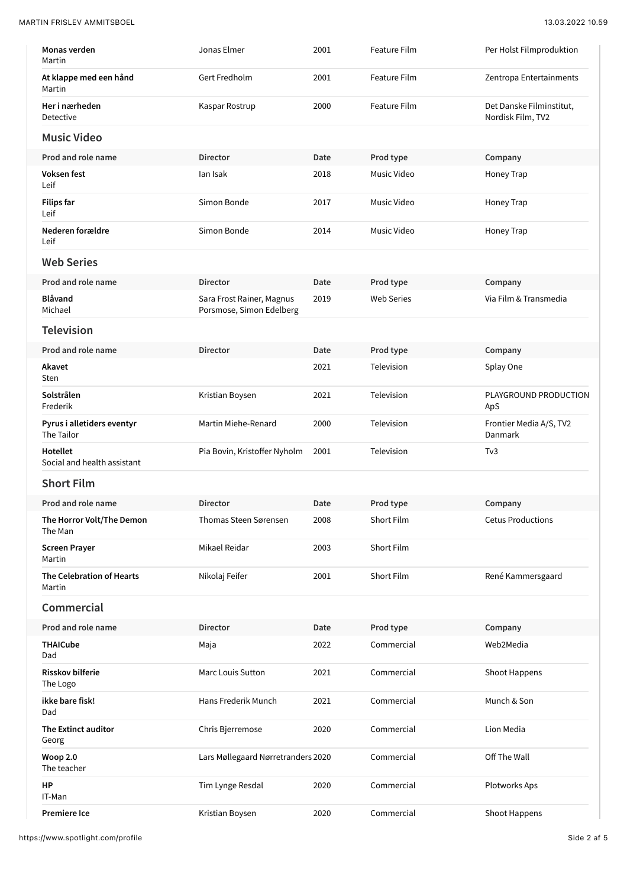MARTIN FRISLEV AMMITSBOEL 13.03.2022 10.59

| Monas verden<br>Martin                     | Jonas Elmer                                           | 2001 | Feature Film        | Per Holst Filmproduktion                      |
|--------------------------------------------|-------------------------------------------------------|------|---------------------|-----------------------------------------------|
| At klappe med een hånd<br>Martin           | Gert Fredholm                                         | 2001 | Feature Film        | Zentropa Entertainments                       |
| Her i nærheden<br>Detective                | Kaspar Rostrup                                        | 2000 | <b>Feature Film</b> | Det Danske Filminstitut,<br>Nordisk Film, TV2 |
| <b>Music Video</b>                         |                                                       |      |                     |                                               |
| Prod and role name                         | <b>Director</b>                                       | Date | Prod type           | Company                                       |
| Voksen fest<br>Leif                        | lan Isak                                              | 2018 | Music Video         | Honey Trap                                    |
| <b>Filips far</b><br>Leif                  | Simon Bonde                                           | 2017 | Music Video         | Honey Trap                                    |
| Nederen forældre<br>Leif                   | Simon Bonde                                           | 2014 | Music Video         | Honey Trap                                    |
| <b>Web Series</b>                          |                                                       |      |                     |                                               |
| Prod and role name                         | <b>Director</b>                                       | Date | Prod type           | Company                                       |
| <b>Blåvand</b><br>Michael                  | Sara Frost Rainer, Magnus<br>Porsmose, Simon Edelberg | 2019 | <b>Web Series</b>   | Via Film & Transmedia                         |
| <b>Television</b>                          |                                                       |      |                     |                                               |
| Prod and role name                         | <b>Director</b>                                       | Date | Prod type           | Company                                       |
| Akavet<br>Sten                             |                                                       | 2021 | Television          | Splay One                                     |
| Solstrålen<br>Frederik                     | Kristian Boysen                                       | 2021 | Television          | PLAYGROUND PRODUCTION<br>ApS                  |
| Pyrus i alletiders eventyr<br>The Tailor   | Martin Miehe-Renard                                   | 2000 | Television          | Frontier Media A/S, TV2<br>Danmark            |
| Hotellet<br>Social and health assistant    | Pia Bovin, Kristoffer Nyholm                          | 2001 | Television          | T <sub>V</sub> 3                              |
| <b>Short Film</b>                          |                                                       |      |                     |                                               |
| Prod and role name                         | <b>Director</b>                                       | Date | Prod type           | Company                                       |
| The Horror Volt/The Demon<br>The Man       | <b>Thomas Steen Sørensen</b>                          | 2008 | <b>Short Film</b>   | <b>Cetus Productions</b>                      |
| <b>Screen Prayer</b><br>Martin             | Mikael Reidar                                         | 2003 | Short Film          |                                               |
| <b>The Celebration of Hearts</b><br>Martin | Nikolaj Feifer                                        | 2001 | <b>Short Film</b>   | René Kammersgaard                             |
| Commercial                                 |                                                       |      |                     |                                               |
| Prod and role name                         | <b>Director</b>                                       | Date | Prod type           | Company                                       |
| <b>THAICube</b><br>Dad                     | Maja                                                  | 2022 | Commercial          | Web2Media                                     |
| <b>Risskov bilferie</b><br>The Logo        | Marc Louis Sutton                                     | 2021 | Commercial          | Shoot Happens                                 |
| ikke bare fisk!<br>Dad                     | Hans Frederik Munch                                   | 2021 | Commercial          | Munch & Son                                   |
| The Extinct auditor<br>Georg               | Chris Bjerremose                                      | 2020 | Commercial          | Lion Media                                    |
| <b>Woop 2.0</b><br>The teacher             | Lars Møllegaard Nørretranders 2020                    |      | Commercial          | Off The Wall                                  |
| HP<br>IT-Man                               | Tim Lynge Resdal                                      | 2020 | Commercial          | Plotworks Aps                                 |
| Premiere Ice                               | Kristian Boysen                                       | 2020 | Commercial          | Shoot Happens                                 |

https://www.spotlight.com/profile Side 2 af 5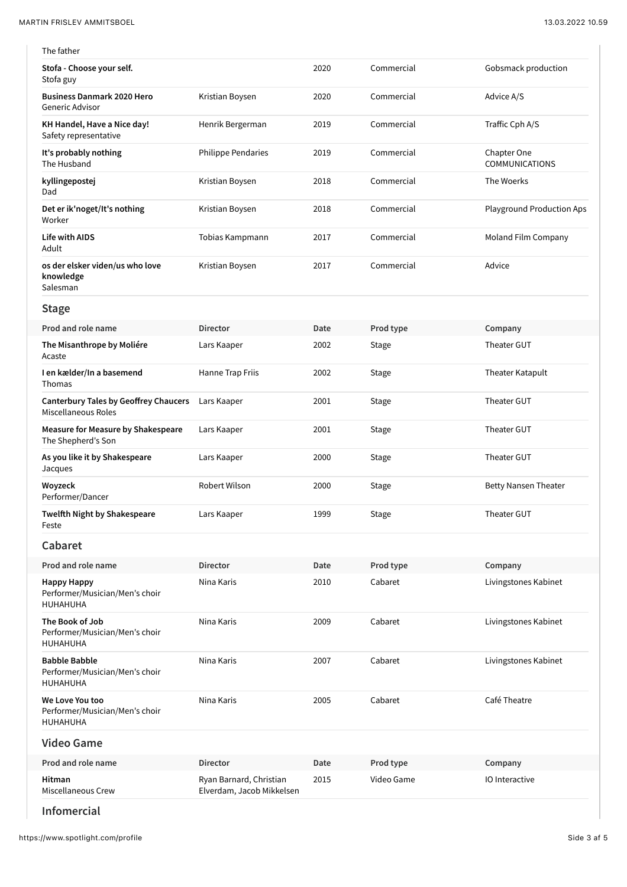| The father                                                          |                                                      |      |            |                                      |
|---------------------------------------------------------------------|------------------------------------------------------|------|------------|--------------------------------------|
| Stofa - Choose your self.<br>Stofa guy                              |                                                      | 2020 | Commercial | Gobsmack production                  |
| <b>Business Danmark 2020 Hero</b><br>Generic Advisor                | Kristian Boysen                                      | 2020 | Commercial | Advice A/S                           |
| KH Handel, Have a Nice day!<br>Safety representative                | Henrik Bergerman                                     | 2019 | Commercial | Traffic Cph A/S                      |
| It's probably nothing<br>The Husband                                | <b>Philippe Pendaries</b>                            | 2019 | Commercial | Chapter One<br><b>COMMUNICATIONS</b> |
| kyllingepostej<br>Dad                                               | Kristian Boysen                                      | 2018 | Commercial | The Woerks                           |
| Det er ik'noget/It's nothing<br>Worker                              | Kristian Boysen                                      | 2018 | Commercial | <b>Playground Production Aps</b>     |
| <b>Life with AIDS</b><br>Adult                                      | Tobias Kampmann                                      | 2017 | Commercial | Moland Film Company                  |
| os der elsker viden/us who love<br>knowledge<br>Salesman            | Kristian Boysen                                      | 2017 | Commercial | Advice                               |
| <b>Stage</b>                                                        |                                                      |      |            |                                      |
| Prod and role name                                                  | <b>Director</b>                                      | Date | Prod type  | Company                              |
| The Misanthrope by Moliére<br>Acaste                                | Lars Kaaper                                          | 2002 | Stage      | Theater GUT                          |
| I en kælder/In a basemend<br>Thomas                                 | Hanne Trap Friis                                     | 2002 | Stage      | Theater Katapult                     |
| <b>Canterbury Tales by Geoffrey Chaucers</b><br>Miscellaneous Roles | Lars Kaaper                                          | 2001 | Stage      | Theater GUT                          |
| Measure for Measure by Shakespeare<br>The Shepherd's Son            | Lars Kaaper                                          | 2001 | Stage      | Theater GUT                          |
| As you like it by Shakespeare<br>Jacques                            | Lars Kaaper                                          | 2000 | Stage      | Theater GUT                          |
| Woyzeck<br>Performer/Dancer                                         | Robert Wilson                                        | 2000 | Stage      | <b>Betty Nansen Theater</b>          |
| Twelfth Night by Shakespeare<br>Feste                               | Lars Kaaper                                          | 1999 | Stage      | Theater GUT                          |
| Cabaret                                                             |                                                      |      |            |                                      |
| Prod and role name                                                  | <b>Director</b>                                      | Date | Prod type  | Company                              |
| <b>Happy Happy</b><br>Performer/Musician/Men's choir<br>HUHAHUHA    | Nina Karis                                           | 2010 | Cabaret    | Livingstones Kabinet                 |
| The Book of Job<br>Performer/Musician/Men's choir<br>HUHAHUHA       | Nina Karis                                           | 2009 | Cabaret    | Livingstones Kabinet                 |
| <b>Babble Babble</b><br>Performer/Musician/Men's choir<br>HUHAHUHA  | Nina Karis                                           | 2007 | Cabaret    | Livingstones Kabinet                 |
| We Love You too<br>Performer/Musician/Men's choir<br>HUHAHUHA       | Nina Karis                                           | 2005 | Cabaret    | Café Theatre                         |
| <b>Video Game</b>                                                   |                                                      |      |            |                                      |
| Prod and role name                                                  | <b>Director</b>                                      | Date | Prod type  | Company                              |
| Hitman<br><b>Miscellaneous Crew</b>                                 | Ryan Barnard, Christian<br>Elverdam, Jacob Mikkelsen | 2015 | Video Game | <b>IO</b> Interactive                |
|                                                                     |                                                      |      |            |                                      |

### **Infomercial**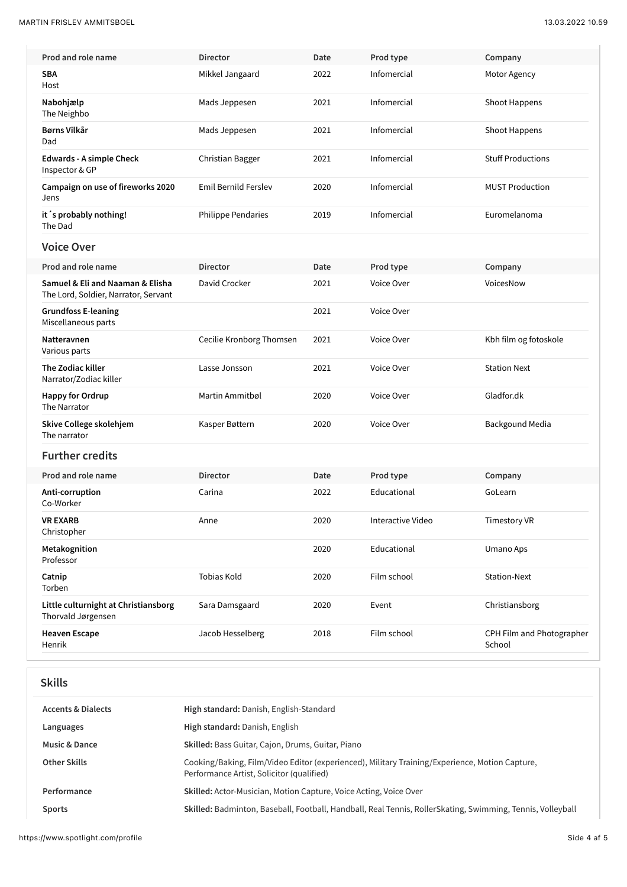| Prod and role name                                                       | <b>Director</b>             | Date | Prod type         | Company                             |
|--------------------------------------------------------------------------|-----------------------------|------|-------------------|-------------------------------------|
| <b>SBA</b><br>Host                                                       | Mikkel Jangaard             | 2022 | Infomercial       | Motor Agency                        |
| Nabohjælp<br>The Neighbo                                                 | Mads Jeppesen               | 2021 | Infomercial       | Shoot Happens                       |
| Børns Vilkår<br>Dad                                                      | Mads Jeppesen               | 2021 | Infomercial       | Shoot Happens                       |
| <b>Edwards - A simple Check</b><br>Inspector & GP                        | Christian Bagger            | 2021 | Infomercial       | <b>Stuff Productions</b>            |
| Campaign on use of fireworks 2020<br>Jens                                | <b>Emil Bernild Ferslev</b> | 2020 | Infomercial       | <b>MUST Production</b>              |
| it's probably nothing!<br>The Dad                                        | <b>Philippe Pendaries</b>   | 2019 | Infomercial       | Euromelanoma                        |
| <b>Voice Over</b>                                                        |                             |      |                   |                                     |
| Prod and role name                                                       | <b>Director</b>             | Date | Prod type         | Company                             |
| Samuel & Eli and Naaman & Elisha<br>The Lord, Soldier, Narrator, Servant | David Crocker               | 2021 | Voice Over        | VoicesNow                           |
| <b>Grundfoss E-leaning</b><br>Miscellaneous parts                        |                             | 2021 | Voice Over        |                                     |
| Natteravnen<br>Various parts                                             | Cecilie Kronborg Thomsen    | 2021 | Voice Over        | Kbh film og fotoskole               |
| The Zodiac killer<br>Narrator/Zodiac killer                              | Lasse Jonsson               | 2021 | Voice Over        | <b>Station Next</b>                 |
| <b>Happy for Ordrup</b><br>The Narrator                                  | Martin Ammitbøl             | 2020 | Voice Over        | Gladfor.dk                          |
| Skive College skolehjem<br>The narrator                                  | Kasper Bøttern              | 2020 | Voice Over        | Backgound Media                     |
| <b>Further credits</b>                                                   |                             |      |                   |                                     |
| Prod and role name                                                       | <b>Director</b>             | Date | Prod type         | Company                             |
| Anti-corruption<br>Co-Worker                                             | Carina                      | 2022 | Educational       | GoLearn                             |
| VR EXARB<br>Christopher                                                  | Anne                        | 2020 | Interactive Video | <b>Timestory VR</b>                 |
| Metakognition<br>Professor                                               |                             | 2020 | Educational       | Umano Aps                           |
| Catnip<br>Torben                                                         | <b>Tobias Kold</b>          | 2020 | Film school       | <b>Station-Next</b>                 |
| Little culturnight at Christiansborg<br>Thorvald Jørgensen               | Sara Damsgaard              | 2020 | Event             | Christiansborg                      |
| <b>Heaven Escape</b><br>Henrik                                           | Jacob Hesselberg            | 2018 | Film school       | CPH Film and Photographer<br>School |
|                                                                          |                             |      |                   |                                     |

# **Skills**

| <b>Accents &amp; Dialects</b> | High standard: Danish, English-Standard                                                                                                     |
|-------------------------------|---------------------------------------------------------------------------------------------------------------------------------------------|
| Languages                     | High standard: Danish, English                                                                                                              |
| <b>Music &amp; Dance</b>      | Skilled: Bass Guitar, Cajon, Drums, Guitar, Piano                                                                                           |
| Other Skills                  | Cooking/Baking, Film/Video Editor (experienced), Military Training/Experience, Motion Capture,<br>Performance Artist, Solicitor (qualified) |
| Performance                   | <b>Skilled:</b> Actor-Musician, Motion Capture, Voice Acting, Voice Over                                                                    |
| <b>Sports</b>                 | Skilled: Badminton, Baseball, Football, Handball, Real Tennis, RollerSkating, Swimming, Tennis, Volleyball                                  |